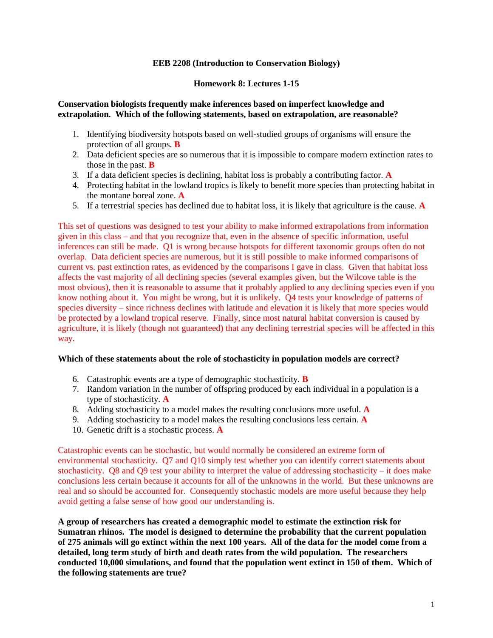# **EEB 2208 (Introduction to Conservation Biology)**

### **Homework 8: Lectures 1-15**

### **Conservation biologists frequently make inferences based on imperfect knowledge and extrapolation. Which of the following statements, based on extrapolation, are reasonable?**

- 1. Identifying biodiversity hotspots based on well-studied groups of organisms will ensure the protection of all groups. **B**
- 2. Data deficient species are so numerous that it is impossible to compare modern extinction rates to those in the past. **B**
- 3. If a data deficient species is declining, habitat loss is probably a contributing factor. **A**
- 4. Protecting habitat in the lowland tropics is likely to benefit more species than protecting habitat in the montane boreal zone. **A**
- 5. If a terrestrial species has declined due to habitat loss, it is likely that agriculture is the cause. **A**

This set of questions was designed to test your ability to make informed extrapolations from information given in this class – and that you recognize that, even in the absence of specific information, useful inferences can still be made. Q1 is wrong because hotspots for different taxonomic groups often do not overlap. Data deficient species are numerous, but it is still possible to make informed comparisons of current vs. past extinction rates, as evidenced by the comparisons I gave in class. Given that habitat loss affects the vast majority of all declining species (several examples given, but the Wilcove table is the most obvious), then it is reasonable to assume that it probably applied to any declining species even if you know nothing about it. You might be wrong, but it is unlikely. Q4 tests your knowledge of patterns of species diversity – since richness declines with latitude and elevation it is likely that more species would be protected by a lowland tropical reserve. Finally, since most natural habitat conversion is caused by agriculture, it is likely (though not guaranteed) that any declining terrestrial species will be affected in this way.

#### **Which of these statements about the role of stochasticity in population models are correct?**

- 6. Catastrophic events are a type of demographic stochasticity. **B**
- 7. Random variation in the number of offspring produced by each individual in a population is a type of stochasticity. **A**
- 8. Adding stochasticity to a model makes the resulting conclusions more useful. **A**
- 9. Adding stochasticity to a model makes the resulting conclusions less certain. **A**
- 10. Genetic drift is a stochastic process. **A**

Catastrophic events can be stochastic, but would normally be considered an extreme form of environmental stochasticity. Q7 and Q10 simply test whether you can identify correct statements about stochasticity. Q8 and Q9 test your ability to interpret the value of addressing stochasticity – it does make conclusions less certain because it accounts for all of the unknowns in the world. But these unknowns are real and so should be accounted for. Consequently stochastic models are more useful because they help avoid getting a false sense of how good our understanding is.

**A group of researchers has created a demographic model to estimate the extinction risk for Sumatran rhinos. The model is designed to determine the probability that the current population of 275 animals will go extinct within the next 100 years. All of the data for the model come from a detailed, long term study of birth and death rates from the wild population. The researchers conducted 10,000 simulations, and found that the population went extinct in 150 of them. Which of the following statements are true?**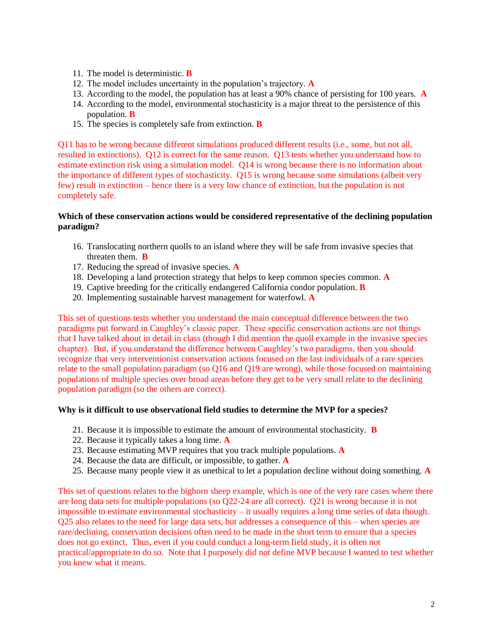- 11. The model is deterministic. **B**
- 12. The model includes uncertainty in the population's trajectory. **A**
- 13. According to the model, the population has at least a 90% chance of persisting for 100 years. **A**
- 14. According to the model, environmental stochasticity is a major threat to the persistence of this population. **B**
- 15. The species is completely safe from extinction. **B**

Q11 has to be wrong because different simulations produced different results (i.e., some, but not all, resulted in extinctions). Q12 is correct for the same reason. Q13 tests whether you understand how to estimate extinction risk using a simulation model. Q14 is wrong because there is no information about the importance of different types of stochasticity. Q15 is wrong because some simulations (albeit very few) result in extinction – hence there is a very low chance of extinction, but the population is not completely safe.

# **Which of these conservation actions would be considered representative of the declining population paradigm?**

- 16. Translocating northern quolls to an island where they will be safe from invasive species that threaten them. **B**
- 17. Reducing the spread of invasive species. **A**
- 18. Developing a land protection strategy that helps to keep common species common. **A**
- 19. Captive breeding for the critically endangered California condor population. **B**
- 20. Implementing sustainable harvest management for waterfowl. **A**

This set of questions tests whether you understand the main conceptual difference between the two paradigms put forward in Caughley's classic paper. These specific conservation actions are not things that I have talked about in detail in class (though I did mention the quoll example in the invasive species chapter). But, if you understand the difference between Caughley's two paradigms, then you should recognize that very interventionist conservation actions focused on the last individuals of a rare species relate to the small population paradigm (so Q16 and Q19 are wrong), while those focused on maintaining populations of multiple species over broad areas before they get to be very small relate to the declining population paradigm (so the others are correct).

# **Why is it difficult to use observational field studies to determine the MVP for a species?**

- 21. Because it is impossible to estimate the amount of environmental stochasticity. **B**
- 22. Because it typically takes a long time. **A**
- 23. Because estimating MVP requires that you track multiple populations. **A**
- 24. Because the data are difficult, or impossible, to gather. **A**
- 25. Because many people view it as unethical to let a population decline without doing something. **A**

This set of questions relates to the bighorn sheep example, which is one of the very rare cases where there are long data sets for multiple populations (so Q22-24 are all correct). Q21 is wrong because it is not impossible to estimate environmental stochasticity – it usually requires a long time series of data though. Q25 also relates to the need for large data sets, but addresses a consequence of this – when species are rare/declining, conservation decisions often need to be made in the short term to ensure that a species does not go extinct. Thus, even if you could conduct a long-term field study, it is often not practical/appropriate to do so. Note that I purposely did not define MVP because I wanted to test whether you knew what it means.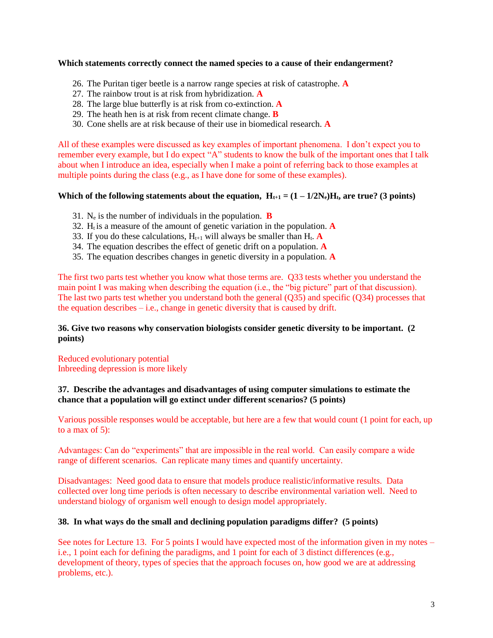### **Which statements correctly connect the named species to a cause of their endangerment?**

- 26. The Puritan tiger beetle is a narrow range species at risk of catastrophe. **A**
- 27. The rainbow trout is at risk from hybridization. **A**
- 28. The large blue butterfly is at risk from co-extinction. **A**
- 29. The heath hen is at risk from recent climate change. **B**
- 30. Cone shells are at risk because of their use in biomedical research. **A**

All of these examples were discussed as key examples of important phenomena. I don't expect you to remember every example, but I do expect "A" students to know the bulk of the important ones that I talk about when I introduce an idea, especially when I make a point of referring back to those examples at multiple points during the class (e.g., as I have done for some of these examples).

# **Which of the following statements about the equation,**  $H_{t+1} = (1 - 1/2N_e)H_t$ **, are true? (3 points)**

- 31. N<sup>e</sup> is the number of individuals in the population. **B**
- 32.  $H_t$  is a measure of the amount of genetic variation in the population. **A**
- 33. If you do these calculations,  $H_{t+1}$  will always be smaller than  $H_t$ . **A**
- 34. The equation describes the effect of genetic drift on a population. **A**
- 35. The equation describes changes in genetic diversity in a population. **A**

The first two parts test whether you know what those terms are. Q33 tests whether you understand the main point I was making when describing the equation (i.e., the "big picture" part of that discussion). The last two parts test whether you understand both the general (Q35) and specific (Q34) processes that the equation describes  $-$  i.e., change in genetic diversity that is caused by drift.

# **36. Give two reasons why conservation biologists consider genetic diversity to be important. (2 points)**

Reduced evolutionary potential Inbreeding depression is more likely

# **37. Describe the advantages and disadvantages of using computer simulations to estimate the chance that a population will go extinct under different scenarios? (5 points)**

Various possible responses would be acceptable, but here are a few that would count (1 point for each, up to a max of 5):

Advantages: Can do "experiments" that are impossible in the real world. Can easily compare a wide range of different scenarios. Can replicate many times and quantify uncertainty.

Disadvantages: Need good data to ensure that models produce realistic/informative results. Data collected over long time periods is often necessary to describe environmental variation well. Need to understand biology of organism well enough to design model appropriately.

#### **38. In what ways do the small and declining population paradigms differ? (5 points)**

See notes for Lecture 13. For 5 points I would have expected most of the information given in my notes – i.e., 1 point each for defining the paradigms, and 1 point for each of 3 distinct differences (e.g., development of theory, types of species that the approach focuses on, how good we are at addressing problems, etc.).